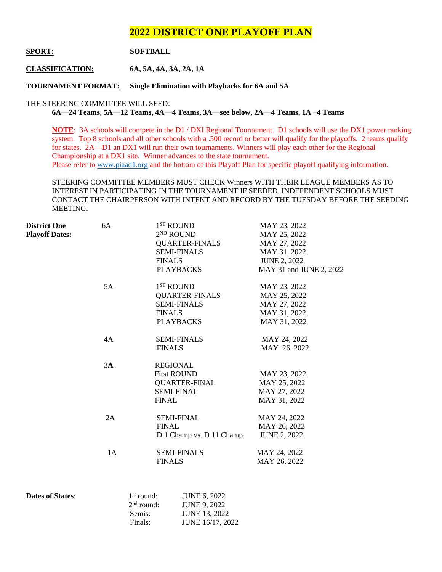# 2022 DISTRICT ONE PLAYOFF PLAN

# **SPORT: SOFTBALL**

**CLASSIFICATION: 6A, 5A, 4A, 3A, 2A, 1A**

**TOURNAMENT FORMAT: Single Elimination with Playbacks for 6A and 5A**

#### THE STEERING COMMITTEE WILL SEED:

**6A—24 Teams, 5A—12 Teams, 4A—4 Teams, 3A—see below, 2A—4 Teams, 1A –4 Teams** 

**NOTE**: 3A schools will compete in the D1 / DXI Regional Tournament. D1 schools will use the DX1 power ranking system. Top 8 schools and all other schools with a .500 record or better will qualify for the playoffs. 2 teams qualify for states. 2A—D1 an DX1 will run their own tournaments. Winners will play each other for the Regional Championship at a DX1 site. Winner advances to the state tournament. Please refer to [www.piaad1.org](http://www.piaad1.org/) and the bottom of this Playoff Plan for specific playoff qualifying information.

STEERING COMMITTEE MEMBERS MUST CHECK Winners WITH THEIR LEAGUE MEMBERS AS TO INTEREST IN PARTICIPATING IN THE TOURNAMENT IF SEEDED. INDEPENDENT SCHOOLS MUST CONTACT THE CHAIRPERSON WITH INTENT AND RECORD BY THE TUESDAY BEFORE THE SEEDING MEETING.

| <b>District One</b>   | 6A | 1 <sup>ST</sup> ROUND    | MAY 23, 2022            |
|-----------------------|----|--------------------------|-------------------------|
| <b>Playoff Dates:</b> |    | $2^{ND}$ ROUND           | MAY 25, 2022            |
|                       |    | <b>QUARTER-FINALS</b>    | MAY 27, 2022            |
|                       |    | <b>SEMI-FINALS</b>       | MAY 31, 2022            |
|                       |    | <b>FINALS</b>            | <b>JUNE 2, 2022</b>     |
|                       |    | <b>PLAYBACKS</b>         | MAY 31 and JUNE 2, 2022 |
|                       | 5A | $1ST$ ROUND              | MAY 23, 2022            |
|                       |    | <b>QUARTER-FINALS</b>    | MAY 25, 2022            |
|                       |    | <b>SEMI-FINALS</b>       | MAY 27, 2022            |
|                       |    | <b>FINALS</b>            | MAY 31, 2022            |
|                       |    | <b>PLAYBACKS</b>         | MAY 31, 2022            |
|                       | 4A | <b>SEMI-FINALS</b>       | MAY 24, 2022            |
|                       |    | <b>FINALS</b>            | MAY 26.2022             |
|                       | 3A | <b>REGIONAL</b>          |                         |
|                       |    | <b>First ROUND</b>       | MAY 23, 2022            |
|                       |    | <b>QUARTER-FINAL</b>     | MAY 25, 2022            |
|                       |    | <b>SEMI-FINAL</b>        | MAY 27, 2022            |
|                       |    | <b>FINAL</b>             | MAY 31, 2022            |
|                       | 2A | <b>SEMI-FINAL</b>        | MAY 24, 2022            |
|                       |    | <b>FINAL</b>             | MAY 26, 2022            |
|                       |    | D.1 Champ vs. D 11 Champ | <b>JUNE 2, 2022</b>     |
|                       | 1A | <b>SEMI-FINALS</b>       | MAY 24, 2022            |
|                       |    | <b>FINALS</b>            | MAY 26, 2022            |
|                       |    |                          |                         |

| <b>Dates of States:</b> | $1st$ round: | <b>JUNE 6, 2022</b>  |
|-------------------------|--------------|----------------------|
|                         | $2nd$ round: | <b>JUNE 9, 2022</b>  |
|                         | Semis:       | <b>JUNE 13, 2022</b> |
|                         | Finals:      | JUNE 16/17, 2022     |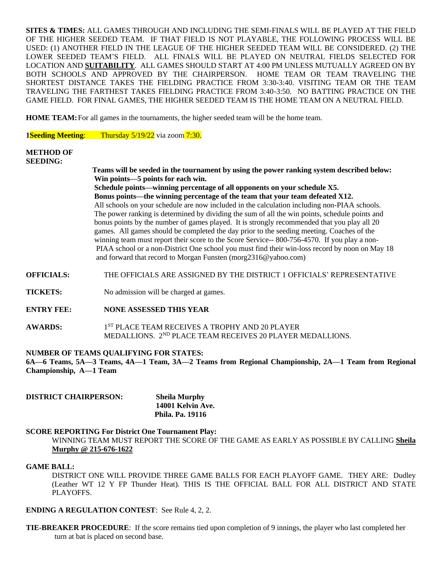**SITES & TIMES:** ALL GAMES THROUGH AND INCLUDING THE SEMI-FINALS WILL BE PLAYED AT THE FIELD OF THE HIGHER SEEDED TEAM. IF THAT FIELD IS NOT PLAYABLE, THE FOLLOWING PROCESS WILL BE USED: (1) ANOTHER FIELD IN THE LEAGUE OF THE HIGHER SEEDED TEAM WILL BE CONSIDERED. (2) THE LOWER SEEDED TEAM'S FIELD. ALL FINALS WILL BE PLAYED ON NEUTRAL FIELDS SELECTED FOR LOCATION AND **SUITABILITY**. ALL GAMES SHOULD START AT 4:00 PM UNLESS MUTUALLY AGREED ON BY BOTH SCHOOLS AND APPROVED BY THE CHAIRPERSON. HOME TEAM OR TEAM TRAVELING THE SHORTEST DISTANCE TAKES THE FIELDING PRACTICE FROM 3:30-3:40. VISITING TEAM OR THE TEAM TRAVELING THE FARTHEST TAKES FIELDING PRACTICE FROM 3:40-3:50. NO BATTING PRACTICE ON THE GAME FIELD. FOR FINAL GAMES, THE HIGHER SEEDED TEAM IS THE HOME TEAM ON A NEUTRAL FIELD.

**HOME TEAM:** For all games in the tournaments, the higher seeded team will be the home team.

**1Seeding Meeting**: Thursday 5/19/22 via zoom 7:30.

# **METHOD OF**

**SEEDING:**

 **Teams will be seeded in the tournament by using the power ranking system described below: Win points—5 points for each win.**

 **Schedule points—winning percentage of all opponents on your schedule X5. Bonus points—the winning percentage of the team that your team defeated X12.** All schools on your schedule are now included in the calculation including non-PIAA schools. The power ranking is determined by dividing the sum of all the win points, schedule points and bonus points by the number of games played. It is strongly recommended that you play all 20 games. All games should be completed the day prior to the seeding meeting. Coaches of the winning team must report their score to the Score Service-- 800-756-4570. If you play a non- PIAA school or a non-District One school you must find their win-loss record by noon on May 18 and forward that record to Morgan Funsten (morg2316@yahoo.com)

#### **OFFICIALS:** THE OFFICIALS ARE ASSIGNED BY THE DISTRICT 1 OFFICIALS' REPRESENTATIVE

**TICKETS:** No admission will be charged at games.

- **ENTRY FEE: NONE ASSESSED THIS YEAR**
- AWARDS: 1<sup>ST</sup> PLACE TEAM RECEIVES A TROPHY AND 20 PLAYER MEDALLIONS. 2ND PLACE TEAM RECEIVES 20 PLAYER MEDALLIONS.

#### **NUMBER OF TEAMS QUALIFYING FOR STATES:**

**6A—6 Teams, 5A—3 Teams, 4A—1 Team, 3A—2 Teams from Regional Championship, 2A—1 Team from Regional Championship, A—1 Team**

| <b>DISTRICT CHAIRPERSON:</b> | <b>Sheila Murphy</b>    |
|------------------------------|-------------------------|
|                              | 14001 Kelvin Ave.       |
|                              | <b>Phila. Pa. 19116</b> |

#### **SCORE REPORTING For District One Tournament Play:**

WINNING TEAM MUST REPORT THE SCORE OF THE GAME AS EARLY AS POSSIBLE BY CALLING **Sheila Murphy @ 215-676-1622**

#### **GAME BALL:**

DISTRICT ONE WILL PROVIDE THREE GAME BALLS FOR EACH PLAYOFF GAME. THEY ARE: Dudley (Leather WT 12 Y FP Thunder Heat). THIS IS THE OFFICIAL BALL FOR ALL DISTRICT AND STATE PLAYOFFS.

#### **ENDING A REGULATION CONTEST**: See Rule 4, 2, 2.

**TIE-BREAKER PROCEDURE**: If the score remains tied upon completion of 9 innings, the player who last completed her turn at bat is placed on second base.